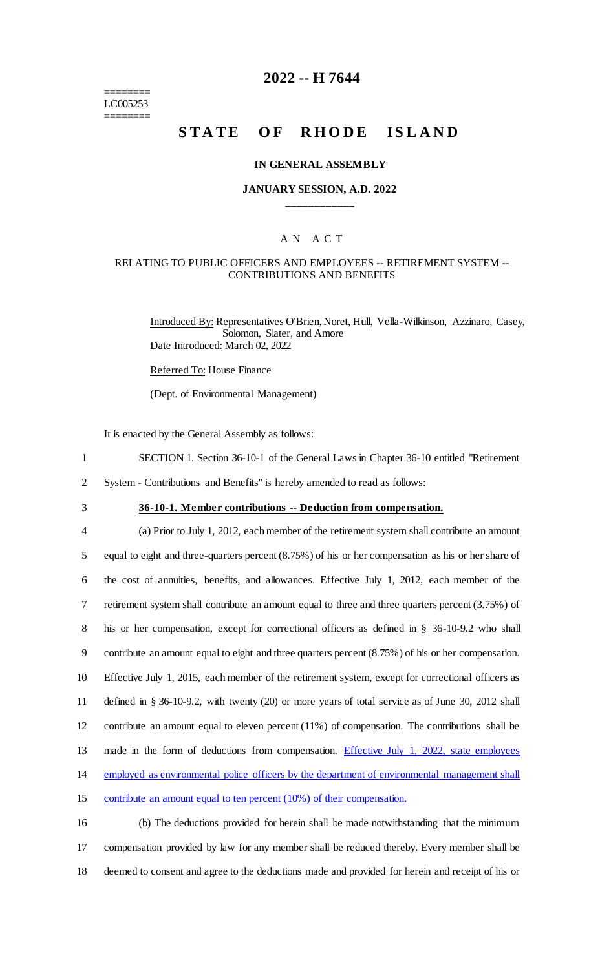======== LC005253 ========

# **2022 -- H 7644**

# **STATE OF RHODE ISLAND**

#### **IN GENERAL ASSEMBLY**

#### **JANUARY SESSION, A.D. 2022 \_\_\_\_\_\_\_\_\_\_\_\_**

# A N A C T

## RELATING TO PUBLIC OFFICERS AND EMPLOYEES -- RETIREMENT SYSTEM -- CONTRIBUTIONS AND BENEFITS

Introduced By: Representatives O'Brien, Noret, Hull, Vella-Wilkinson, Azzinaro, Casey, Solomon, Slater, and Amore Date Introduced: March 02, 2022

Referred To: House Finance

(Dept. of Environmental Management)

It is enacted by the General Assembly as follows:

- 1 SECTION 1. Section 36-10-1 of the General Laws in Chapter 36-10 entitled "Retirement
- 2 System Contributions and Benefits" is hereby amended to read as follows:
- 

# 3 **36-10-1. Member contributions -- Deduction from compensation.**

 (a) Prior to July 1, 2012, each member of the retirement system shall contribute an amount equal to eight and three-quarters percent (8.75%) of his or her compensation as his or her share of the cost of annuities, benefits, and allowances. Effective July 1, 2012, each member of the retirement system shall contribute an amount equal to three and three quarters percent (3.75%) of his or her compensation, except for correctional officers as defined in § 36-10-9.2 who shall contribute an amount equal to eight and three quarters percent (8.75%) of his or her compensation. Effective July 1, 2015, each member of the retirement system, except for correctional officers as defined in § 36-10-9.2, with twenty (20) or more years of total service as of June 30, 2012 shall contribute an amount equal to eleven percent (11%) of compensation. The contributions shall be made in the form of deductions from compensation. Effective July 1, 2022, state employees employed as environmental police officers by the department of environmental management shall contribute an amount equal to ten percent (10%) of their compensation.

16 (b) The deductions provided for herein shall be made notwithstanding that the minimum 17 compensation provided by law for any member shall be reduced thereby. Every member shall be 18 deemed to consent and agree to the deductions made and provided for herein and receipt of his or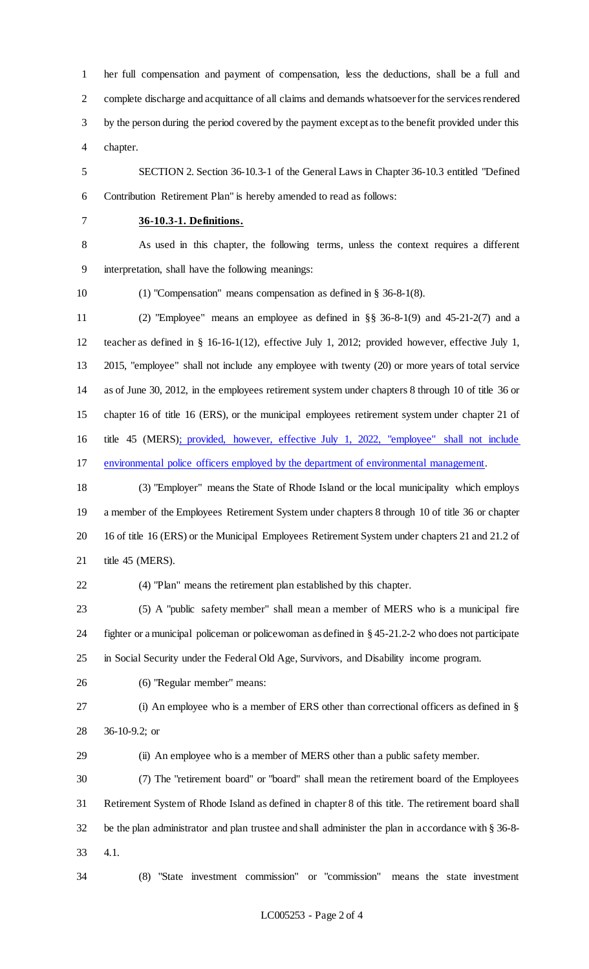her full compensation and payment of compensation, less the deductions, shall be a full and complete discharge and acquittance of all claims and demands whatsoever for the services rendered by the person during the period covered by the payment except as to the benefit provided under this chapter.

 SECTION 2. Section 36-10.3-1 of the General Laws in Chapter 36-10.3 entitled "Defined Contribution Retirement Plan" is hereby amended to read as follows:

#### **36-10.3-1. Definitions.**

 As used in this chapter, the following terms, unless the context requires a different interpretation, shall have the following meanings:

(1) "Compensation" means compensation as defined in § 36-8-1(8).

 (2) "Employee" means an employee as defined in §§ 36-8-1(9) and 45-21-2(7) and a teacher as defined in § 16-16-1(12), effective July 1, 2012; provided however, effective July 1, 2015, "employee" shall not include any employee with twenty (20) or more years of total service as of June 30, 2012, in the employees retirement system under chapters 8 through 10 of title 36 or chapter 16 of title 16 (ERS), or the municipal employees retirement system under chapter 21 of title 45 (MERS); provided, however, effective July 1, 2022, "employee" shall not include environmental police officers employed by the department of environmental management.

 (3) "Employer" means the State of Rhode Island or the local municipality which employs a member of the Employees Retirement System under chapters 8 through 10 of title 36 or chapter 16 of title 16 (ERS) or the Municipal Employees Retirement System under chapters 21 and 21.2 of title 45 (MERS).

(4) "Plan" means the retirement plan established by this chapter.

 (5) A "public safety member" shall mean a member of MERS who is a municipal fire fighter or a municipal policeman or policewoman as defined in § 45-21.2-2 who does not participate in Social Security under the Federal Old Age, Survivors, and Disability income program.

(6) "Regular member" means:

 (i) An employee who is a member of ERS other than correctional officers as defined in § 36-10-9.2; or

(ii) An employee who is a member of MERS other than a public safety member.

 (7) The "retirement board" or "board" shall mean the retirement board of the Employees Retirement System of Rhode Island as defined in chapter 8 of this title. The retirement board shall be the plan administrator and plan trustee and shall administer the plan in accordance with § 36-8- 4.1.

(8) "State investment commission" or "commission" means the state investment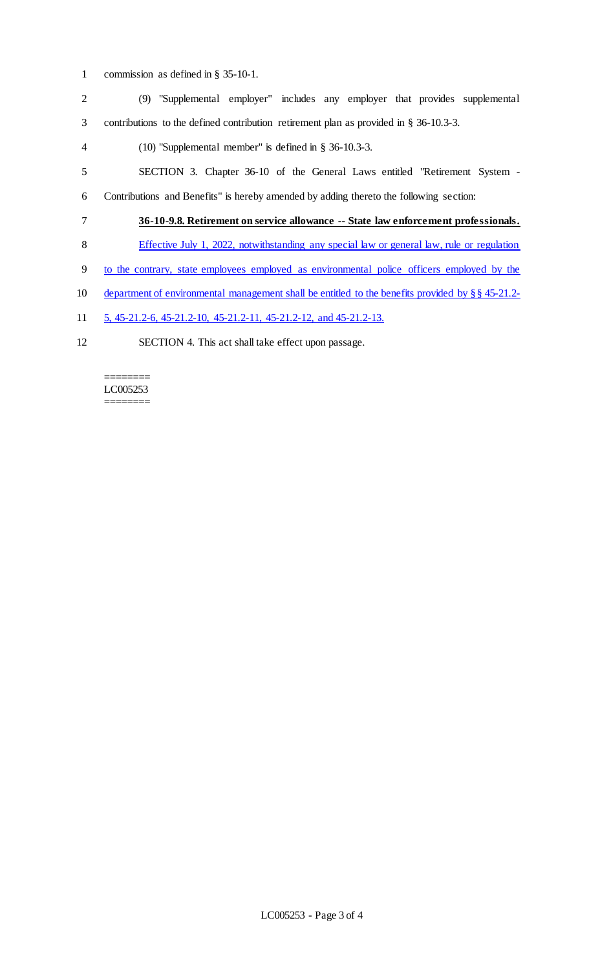- commission as defined in § 35-10-1.
- (9) "Supplemental employer" includes any employer that provides supplemental contributions to the defined contribution retirement plan as provided in § 36-10.3-3. (10) "Supplemental member" is defined in § 36-10.3-3. SECTION 3. Chapter 36-10 of the General Laws entitled "Retirement System -
- Contributions and Benefits" is hereby amended by adding thereto the following section:
- **36-10-9.8. Retirement on service allowance -- State law enforcement professionals.**
- Effective July 1, 2022, notwithstanding any special law or general law, rule or regulation
- to the contrary, state employees employed as environmental police officers employed by the
- 10 department of environmental management shall be entitled to the benefits provided by §§ 45-21.2-
- 5, 45-21.2-6, 45-21.2-10, 45-21.2-11, 45-21.2-12, and 45-21.2-13.
- SECTION 4. This act shall take effect upon passage.

======== LC005253 ========